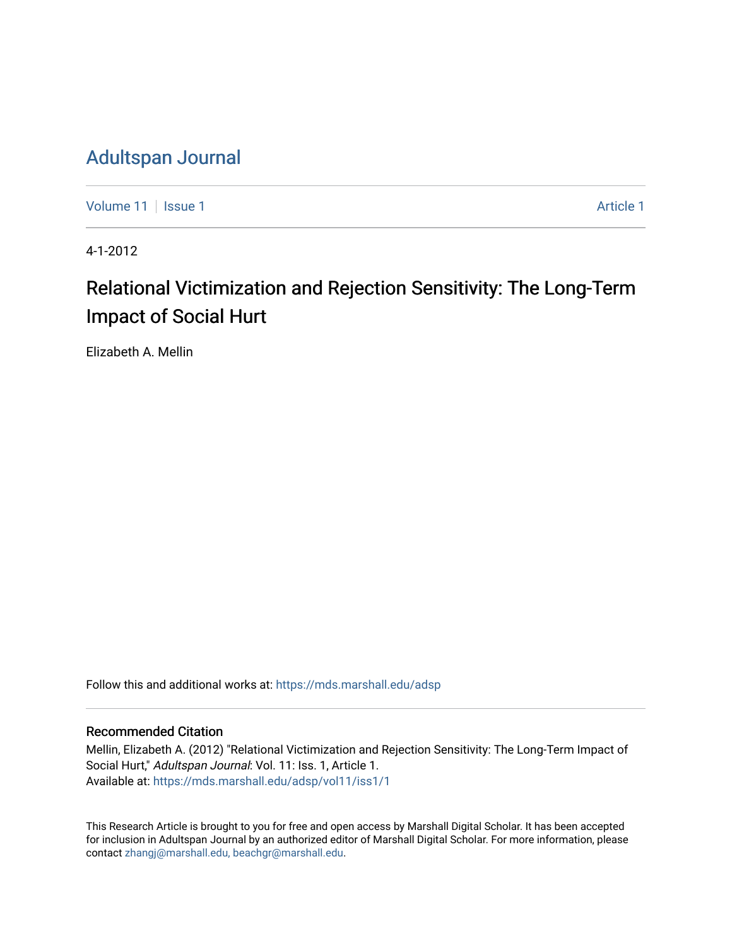## [Adultspan Journal](https://mds.marshall.edu/adsp)

[Volume 11](https://mds.marshall.edu/adsp/vol11) | [Issue 1](https://mds.marshall.edu/adsp/vol11/iss1) Article 1

4-1-2012

## Relational Victimization and Rejection Sensitivity: The Long-Term Impact of Social Hurt

Elizabeth A. Mellin

Follow this and additional works at: [https://mds.marshall.edu/adsp](https://mds.marshall.edu/adsp?utm_source=mds.marshall.edu%2Fadsp%2Fvol11%2Fiss1%2F1&utm_medium=PDF&utm_campaign=PDFCoverPages) 

## Recommended Citation

Mellin, Elizabeth A. (2012) "Relational Victimization and Rejection Sensitivity: The Long-Term Impact of Social Hurt," Adultspan Journal: Vol. 11: Iss. 1, Article 1. Available at: [https://mds.marshall.edu/adsp/vol11/iss1/1](https://mds.marshall.edu/adsp/vol11/iss1/1?utm_source=mds.marshall.edu%2Fadsp%2Fvol11%2Fiss1%2F1&utm_medium=PDF&utm_campaign=PDFCoverPages) 

This Research Article is brought to you for free and open access by Marshall Digital Scholar. It has been accepted for inclusion in Adultspan Journal by an authorized editor of Marshall Digital Scholar. For more information, please contact [zhangj@marshall.edu, beachgr@marshall.edu](mailto:zhangj@marshall.edu,%20beachgr@marshall.edu).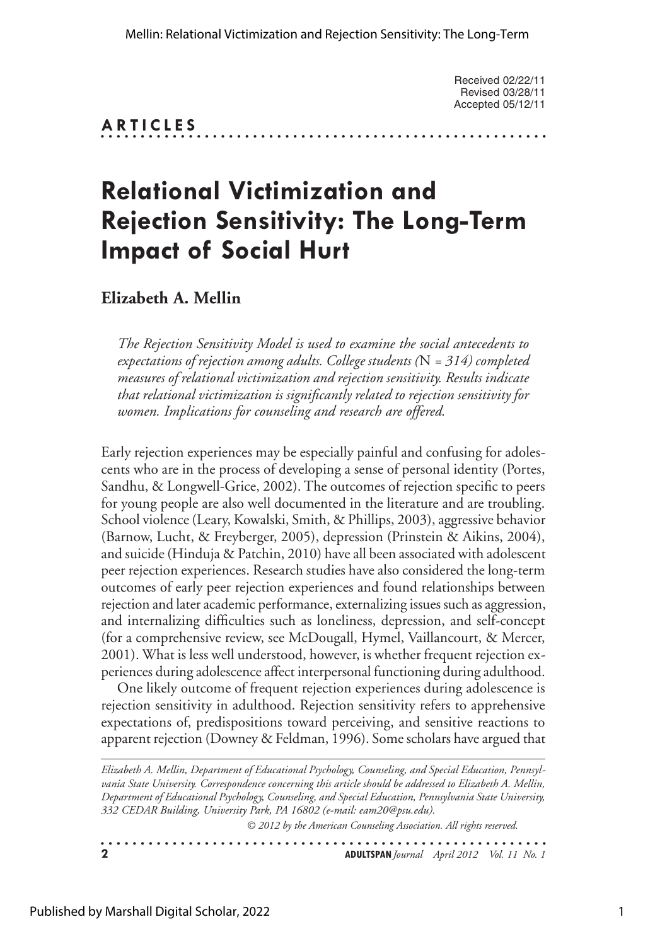Received 02/22/11 Revised 03/28/11 Accepted 05/12/11

| <b>ARTICLES</b> |  |  |  |  |  |  |  |  |  |  |  |  |  |  |  |  |  |  |  |  |  |  |  |  |  |  |
|-----------------|--|--|--|--|--|--|--|--|--|--|--|--|--|--|--|--|--|--|--|--|--|--|--|--|--|--|
|                 |  |  |  |  |  |  |  |  |  |  |  |  |  |  |  |  |  |  |  |  |  |  |  |  |  |  |

# **Relational Victimization and Rejection Sensitivity: The Long-Term Impact of Social Hurt**

**Elizabeth A. Mellin**

*The Rejection Sensitivity Model is used to examine the social antecedents to expectations of rejection among adults. College students (*N *= 314) completed measures of relational victimization and rejection sensitivity. Results indicate that relational victimization is significantly related to rejection sensitivity for women. Implications for counseling and research are offered.* 

Early rejection experiences may be especially painful and confusing for adolescents who are in the process of developing a sense of personal identity (Portes, Sandhu, & Longwell-Grice, 2002). The outcomes of rejection specific to peers for young people are also well documented in the literature and are troubling. School violence (Leary, Kowalski, Smith, & Phillips, 2003), aggressive behavior (Barnow, Lucht, & Freyberger, 2005), depression (Prinstein & Aikins, 2004), and suicide (Hinduja & Patchin, 2010) have all been associated with adolescent peer rejection experiences. Research studies have also considered the long-term outcomes of early peer rejection experiences and found relationships between rejection and later academic performance, externalizing issues such as aggression, and internalizing difficulties such as loneliness, depression, and self-concept (for a comprehensive review, see McDougall, Hymel, Vaillancourt, & Mercer, 2001). What is less well understood, however, is whether frequent rejection experiences during adolescence affect interpersonal functioning during adulthood.

One likely outcome of frequent rejection experiences during adolescence is rejection sensitivity in adulthood. Rejection sensitivity refers to apprehensive expectations of, predispositions toward perceiving, and sensitive reactions to apparent rejection (Downey & Feldman, 1996). Some scholars have argued that

*Elizabeth A. Mellin, Department of Educational Psychology, Counseling, and Special Education, Pennsylvania State University. Correspondence concerning this article should be addressed to Elizabeth A. Mellin, Department of Educational Psychology, Counseling, and Special Education, Pennsylvania State University, 332 CEDAR Building, University Park, PA 16802 (e-mail: eam20@psu.edu).*

*© 2012 by the American Counseling Association. All rights reserved.*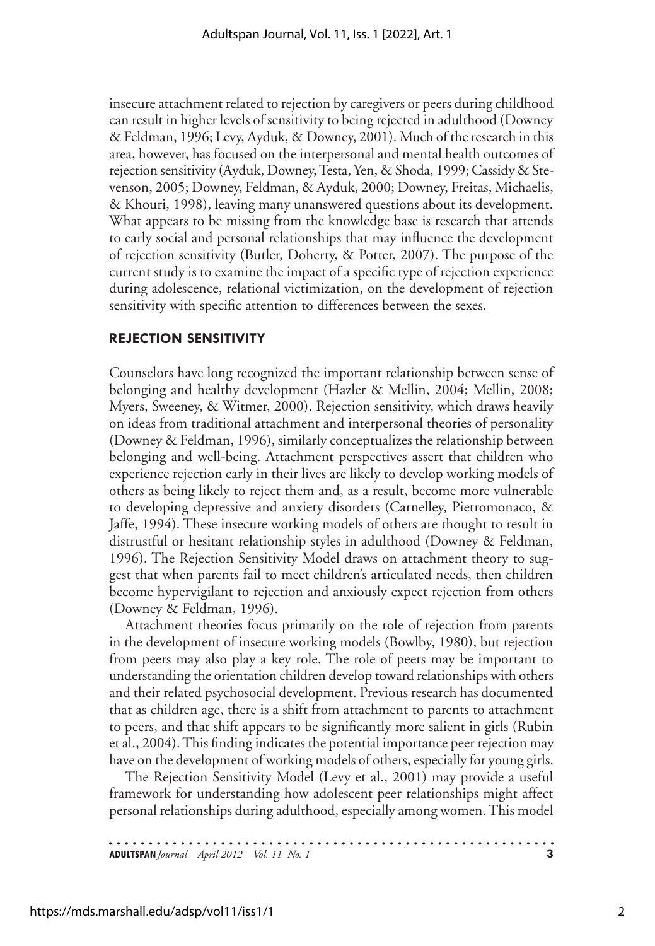insecure attachment related to rejection by caregivers or peers during childhood can result in higher levels of sensitivity to being rejected in adulthood (Downey & Feldman, 1996; Levy, Ayduk, & Downey, 2001). Much of the research in this area, however, has focused on the interpersonal and mental health outcomes of rejection sensitivity (Ayduk, Downey, Testa, Yen, & Shoda, 1999; Cassidy & Stevenson, 2005; Downey, Feldman, & Ayduk, 2000; Downey, Freitas, Michaelis, & Khouri, 1998), leaving many unanswered questions about its development. What appears to be missing from the knowledge base is research that attends to early social and personal relationships that may influence the development of rejection sensitivity (Butler, Doherty, & Potter, 2007). The purpose of the current study is to examine the impact of a specific type of rejection experience during adolescence, relational victimization, on the development of rejection sensitivity with specific attention to differences between the sexes.

### **Rejection Sensitivity**

Counselors have long recognized the important relationship between sense of belonging and healthy development (Hazler & Mellin, 2004; Mellin, 2008; Myers, Sweeney, & Witmer, 2000). Rejection sensitivity, which draws heavily on ideas from traditional attachment and interpersonal theories of personality (Downey & Feldman, 1996), similarly conceptualizes the relationship between belonging and well-being. Attachment perspectives assert that children who experience rejection early in their lives are likely to develop working models of others as being likely to reject them and, as a result, become more vulnerable to developing depressive and anxiety disorders (Carnelley, Pietromonaco, & Jaffe, 1994). These insecure working models of others are thought to result in distrustful or hesitant relationship styles in adulthood (Downey & Feldman, 1996). The Rejection Sensitivity Model draws on attachment theory to suggest that when parents fail to meet children's articulated needs, then children become hypervigilant to rejection and anxiously expect rejection from others (Downey & Feldman, 1996).

Attachment theories focus primarily on the role of rejection from parents in the development of insecure working models (Bowlby, 1980), but rejection from peers may also play a key role. The role of peers may be important to understanding the orientation children develop toward relationships with others and their related psychosocial development. Previous research has documented that as children age, there is a shift from attachment to parents to attachment to peers, and that shift appears to be significantly more salient in girls (Rubin et al., 2004). This finding indicates the potential importance peer rejection may have on the development of working models of others, especially for young girls.

The Rejection Sensitivity Model (Levy et al., 2001) may provide a useful framework for understanding how adolescent peer relationships might affect personal relationships during adulthood, especially among women. This model

| <b>ADULTSPAN</b> Journal April 2012 Vol. 11 No. 1 |  |  |  |
|---------------------------------------------------|--|--|--|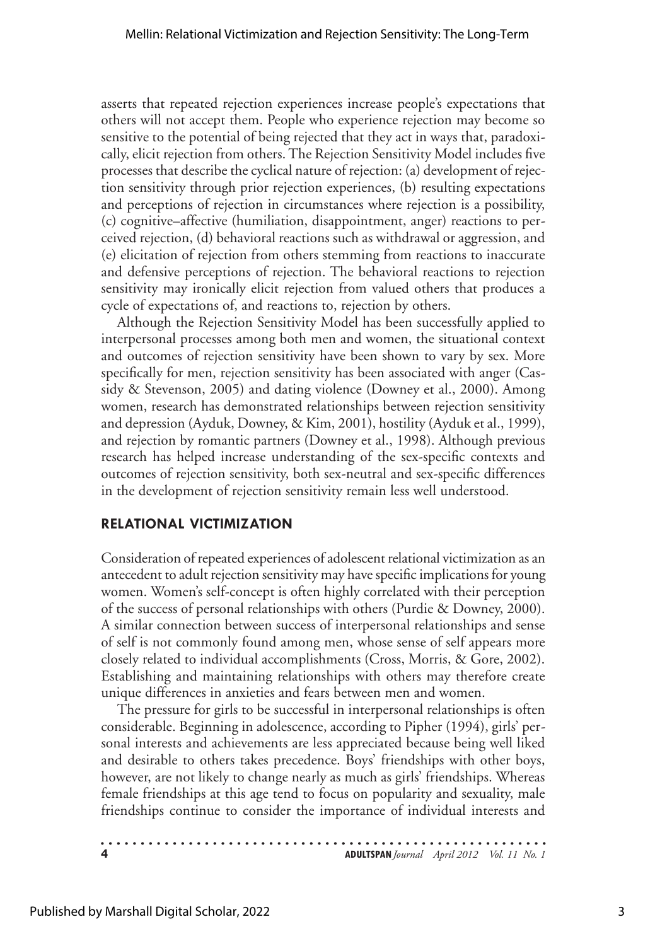asserts that repeated rejection experiences increase people's expectations that others will not accept them. People who experience rejection may become so sensitive to the potential of being rejected that they act in ways that, paradoxically, elicit rejection from others. The Rejection Sensitivity Model includes five processes that describe the cyclical nature of rejection: (a) development of rejection sensitivity through prior rejection experiences, (b) resulting expectations and perceptions of rejection in circumstances where rejection is a possibility, (c) cognitive–affective (humiliation, disappointment, anger) reactions to perceived rejection, (d) behavioral reactions such as withdrawal or aggression, and (e) elicitation of rejection from others stemming from reactions to inaccurate and defensive perceptions of rejection. The behavioral reactions to rejection sensitivity may ironically elicit rejection from valued others that produces a cycle of expectations of, and reactions to, rejection by others.

Although the Rejection Sensitivity Model has been successfully applied to interpersonal processes among both men and women, the situational context and outcomes of rejection sensitivity have been shown to vary by sex. More specifically for men, rejection sensitivity has been associated with anger (Cassidy & Stevenson, 2005) and dating violence (Downey et al., 2000). Among women, research has demonstrated relationships between rejection sensitivity and depression (Ayduk, Downey, & Kim, 2001), hostility (Ayduk et al., 1999), and rejection by romantic partners (Downey et al., 1998). Although previous research has helped increase understanding of the sex-specific contexts and outcomes of rejection sensitivity, both sex-neutral and sex-specific differences in the development of rejection sensitivity remain less well understood.

### **Relational Victimization**

Consideration of repeated experiences of adolescent relational victimization as an antecedent to adult rejection sensitivity may have specific implications for young women. Women's self-concept is often highly correlated with their perception of the success of personal relationships with others (Purdie & Downey, 2000). A similar connection between success of interpersonal relationships and sense of self is not commonly found among men, whose sense of self appears more closely related to individual accomplishments (Cross, Morris, & Gore, 2002). Establishing and maintaining relationships with others may therefore create unique differences in anxieties and fears between men and women.

The pressure for girls to be successful in interpersonal relationships is often considerable. Beginning in adolescence, according to Pipher (1994), girls' personal interests and achievements are less appreciated because being well liked and desirable to others takes precedence. Boys' friendships with other boys, however, are not likely to change nearly as much as girls' friendships. Whereas female friendships at this age tend to focus on popularity and sexuality, male friendships continue to consider the importance of individual interests and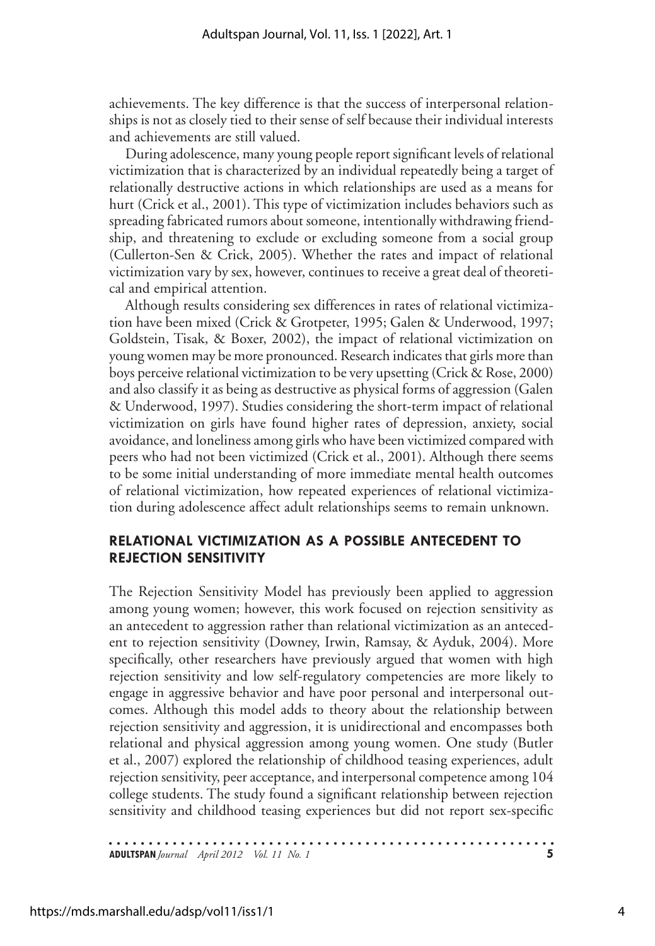achievements. The key difference is that the success of interpersonal relationships is not as closely tied to their sense of self because their individual interests and achievements are still valued.

During adolescence, many young people report significant levels of relational victimization that is characterized by an individual repeatedly being a target of relationally destructive actions in which relationships are used as a means for hurt (Crick et al., 2001). This type of victimization includes behaviors such as spreading fabricated rumors about someone, intentionally withdrawing friendship, and threatening to exclude or excluding someone from a social group (Cullerton-Sen & Crick, 2005). Whether the rates and impact of relational victimization vary by sex, however, continues to receive a great deal of theoretical and empirical attention.

Although results considering sex differences in rates of relational victimization have been mixed (Crick & Grotpeter, 1995; Galen & Underwood, 1997; Goldstein, Tisak, & Boxer, 2002), the impact of relational victimization on young women may be more pronounced. Research indicates that girls more than boys perceive relational victimization to be very upsetting (Crick & Rose, 2000) and also classify it as being as destructive as physical forms of aggression (Galen & Underwood, 1997). Studies considering the short-term impact of relational victimization on girls have found higher rates of depression, anxiety, social avoidance, and loneliness among girls who have been victimized compared with peers who had not been victimized (Crick et al., 2001). Although there seems to be some initial understanding of more immediate mental health outcomes of relational victimization, how repeated experiences of relational victimization during adolescence affect adult relationships seems to remain unknown.

## **Relational Victimization as a Possible Antecedent to Rejection Sensitivity**

The Rejection Sensitivity Model has previously been applied to aggression among young women; however, this work focused on rejection sensitivity as an antecedent to aggression rather than relational victimization as an antecedent to rejection sensitivity (Downey, Irwin, Ramsay, & Ayduk, 2004). More specifically, other researchers have previously argued that women with high rejection sensitivity and low self-regulatory competencies are more likely to engage in aggressive behavior and have poor personal and interpersonal outcomes. Although this model adds to theory about the relationship between rejection sensitivity and aggression, it is unidirectional and encompasses both relational and physical aggression among young women. One study (Butler et al., 2007) explored the relationship of childhood teasing experiences, adult rejection sensitivity, peer acceptance, and interpersonal competence among 104 college students. The study found a significant relationship between rejection sensitivity and childhood teasing experiences but did not report sex-specific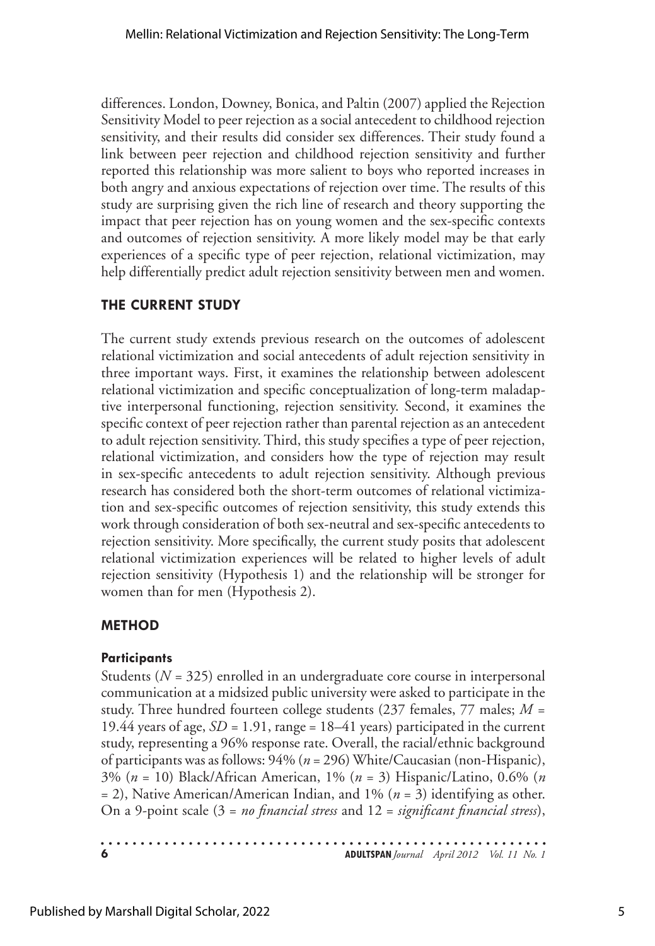differences. London, Downey, Bonica, and Paltin (2007) applied the Rejection Sensitivity Model to peer rejection as a social antecedent to childhood rejection sensitivity, and their results did consider sex differences. Their study found a link between peer rejection and childhood rejection sensitivity and further reported this relationship was more salient to boys who reported increases in both angry and anxious expectations of rejection over time. The results of this study are surprising given the rich line of research and theory supporting the impact that peer rejection has on young women and the sex-specific contexts and outcomes of rejection sensitivity. A more likely model may be that early experiences of a specific type of peer rejection, relational victimization, may help differentially predict adult rejection sensitivity between men and women.

## **The Current Study**

The current study extends previous research on the outcomes of adolescent relational victimization and social antecedents of adult rejection sensitivity in three important ways. First, it examines the relationship between adolescent relational victimization and specific conceptualization of long-term maladaptive interpersonal functioning, rejection sensitivity. Second, it examines the specific context of peer rejection rather than parental rejection as an antecedent to adult rejection sensitivity. Third, this study specifies a type of peer rejection, relational victimization, and considers how the type of rejection may result in sex-specific antecedents to adult rejection sensitivity. Although previous research has considered both the short-term outcomes of relational victimization and sex-specific outcomes of rejection sensitivity, this study extends this work through consideration of both sex-neutral and sex-specific antecedents to rejection sensitivity. More specifically, the current study posits that adolescent relational victimization experiences will be related to higher levels of adult rejection sensitivity (Hypothesis 1) and the relationship will be stronger for women than for men (Hypothesis 2).

## **Method**

## **Participants**

Students (*N =* 325) enrolled in an undergraduate core course in interpersonal communication at a midsized public university were asked to participate in the study. Three hundred fourteen college students (237 females, 77 males; *M =*  19.44 years of age, *SD =* 1.91, range = 18–41 years) participated in the current study, representing a 96% response rate. Overall, the racial/ethnic background of participants was as follows: 94% (*n* = 296) White/Caucasian (non-Hispanic), 3% (*n* = 10) Black/African American, 1% (*n* = 3) Hispanic/Latino, 0.6% (*n* = 2), Native American/American Indian, and 1% (*n* = 3) identifying as other. On a 9-point scale (3 = *no financial stress* and 12 = *significant financial stress*),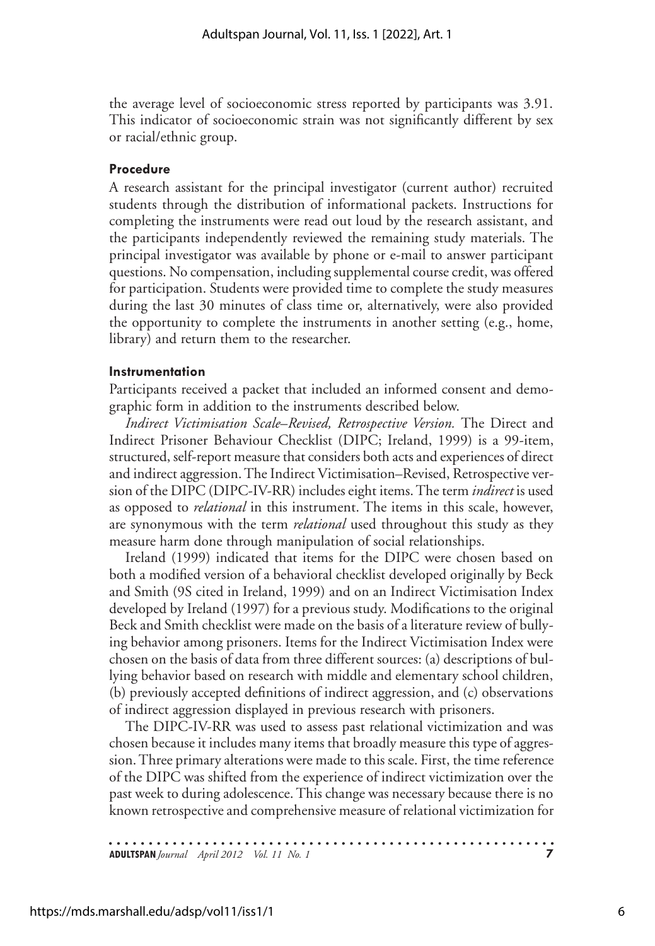the average level of socioeconomic stress reported by participants was 3.91. This indicator of socioeconomic strain was not significantly different by sex or racial/ethnic group.

#### **Procedure**

A research assistant for the principal investigator (current author) recruited students through the distribution of informational packets. Instructions for completing the instruments were read out loud by the research assistant, and the participants independently reviewed the remaining study materials. The principal investigator was available by phone or e-mail to answer participant questions. No compensation, including supplemental course credit, was offered for participation. Students were provided time to complete the study measures during the last 30 minutes of class time or, alternatively, were also provided the opportunity to complete the instruments in another setting (e.g., home, library) and return them to the researcher.

#### **Instrumentation**

Participants received a packet that included an informed consent and demographic form in addition to the instruments described below.

*Indirect Victimisation Scale*–*Revised, Retrospective Version.* The Direct and Indirect Prisoner Behaviour Checklist (DIPC; Ireland, 1999) is a 99-item, structured, self-report measure that considers both acts and experiences of direct and indirect aggression. The Indirect Victimisation–Revised, Retrospective version of the DIPC (DIPC-IV-RR) includes eight items. The term *indirect* is used as opposed to *relational* in this instrument. The items in this scale, however, are synonymous with the term *relational* used throughout this study as they measure harm done through manipulation of social relationships.

Ireland (1999) indicated that items for the DIPC were chosen based on both a modified version of a behavioral checklist developed originally by Beck and Smith (9S cited in Ireland, 1999) and on an Indirect Victimisation Index developed by Ireland (1997) for a previous study. Modifications to the original Beck and Smith checklist were made on the basis of a literature review of bullying behavior among prisoners. Items for the Indirect Victimisation Index were chosen on the basis of data from three different sources: (a) descriptions of bullying behavior based on research with middle and elementary school children, (b) previously accepted definitions of indirect aggression, and (c) observations of indirect aggression displayed in previous research with prisoners.

The DIPC-IV-RR was used to assess past relational victimization and was chosen because it includes many items that broadly measure this type of aggression. Three primary alterations were made to this scale. First, the time reference of the DIPC was shifted from the experience of indirect victimization over the past week to during adolescence. This change was necessary because there is no known retrospective and comprehensive measure of relational victimization for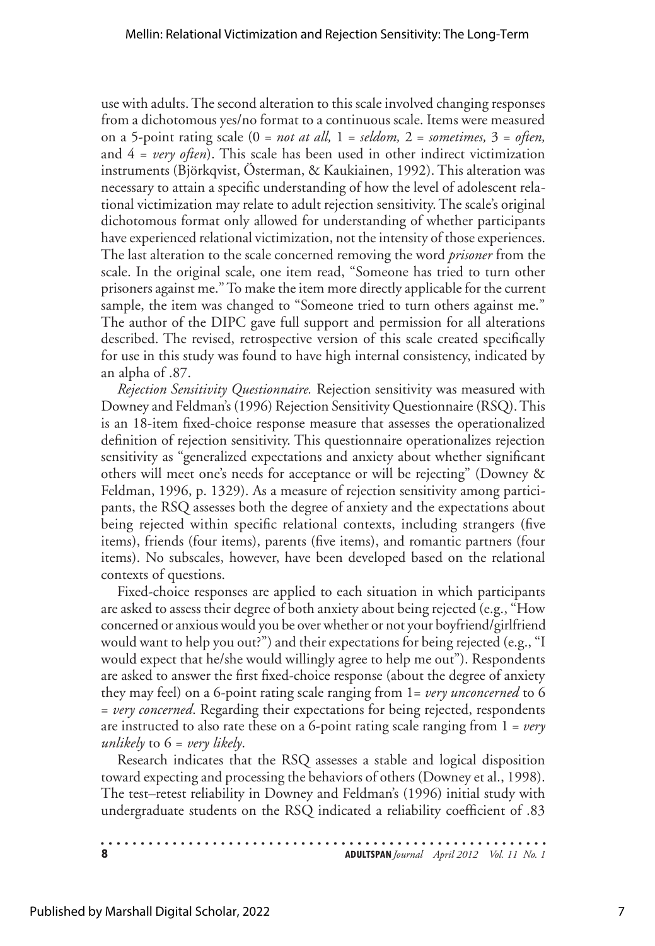use with adults. The second alteration to this scale involved changing responses from a dichotomous yes/no format to a continuous scale. Items were measured on a 5-point rating scale (0 = *not at all,* 1 = *seldom,* 2 = *sometimes,* 3 = *often,* and 4 = *very often*). This scale has been used in other indirect victimization instruments (Björkqvist, Österman, & Kaukiainen, 1992). This alteration was necessary to attain a specific understanding of how the level of adolescent relational victimization may relate to adult rejection sensitivity. The scale's original dichotomous format only allowed for understanding of whether participants have experienced relational victimization, not the intensity of those experiences. The last alteration to the scale concerned removing the word *prisoner* from the scale. In the original scale, one item read, "Someone has tried to turn other prisoners against me." To make the item more directly applicable for the current sample, the item was changed to "Someone tried to turn others against me." The author of the DIPC gave full support and permission for all alterations described. The revised, retrospective version of this scale created specifically for use in this study was found to have high internal consistency, indicated by an alpha of .87.

*Rejection Sensitivity Questionnaire.* Rejection sensitivity was measured with Downey and Feldman's (1996) Rejection Sensitivity Questionnaire (RSQ). This is an 18-item fixed-choice response measure that assesses the operationalized definition of rejection sensitivity. This questionnaire operationalizes rejection sensitivity as "generalized expectations and anxiety about whether significant others will meet one's needs for acceptance or will be rejecting" (Downey & Feldman, 1996, p. 1329). As a measure of rejection sensitivity among participants, the RSQ assesses both the degree of anxiety and the expectations about being rejected within specific relational contexts, including strangers (five items), friends (four items), parents (five items), and romantic partners (four items). No subscales, however, have been developed based on the relational contexts of questions.

Fixed-choice responses are applied to each situation in which participants are asked to assess their degree of both anxiety about being rejected (e.g., "How concerned or anxious would you be over whether or not your boyfriend/girlfriend would want to help you out?") and their expectations for being rejected (e.g., "I would expect that he/she would willingly agree to help me out"). Respondents are asked to answer the first fixed-choice response (about the degree of anxiety they may feel) on a 6-point rating scale ranging from 1= *very unconcerned* to 6 = *very concerned*. Regarding their expectations for being rejected, respondents are instructed to also rate these on a 6-point rating scale ranging from 1 = *very unlikely* to 6 = *very likely*.

Research indicates that the RSQ assesses a stable and logical disposition toward expecting and processing the behaviors of others (Downey et al., 1998). The test–retest reliability in Downey and Feldman's (1996) initial study with undergraduate students on the RSQ indicated a reliability coefficient of .83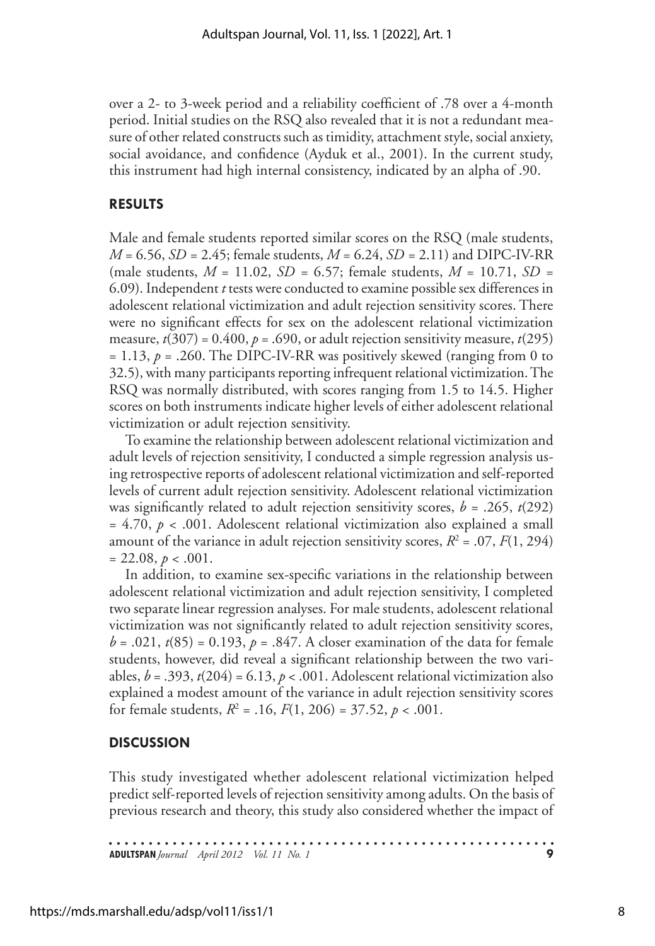over a 2- to 3-week period and a reliability coefficient of .78 over a 4-month period. Initial studies on the RSQ also revealed that it is not a redundant measure of other related constructs such as timidity, attachment style, social anxiety, social avoidance, and confidence (Ayduk et al., 2001). In the current study, this instrument had high internal consistency, indicated by an alpha of .90.

#### **Results**

Male and female students reported similar scores on the RSQ (male students, *M* = 6.56, *SD =* 2.45; female students, *M* = 6.24, *SD =* 2.11) and DIPC-IV-RR (male students, *M* = 11.02, *SD =* 6.57; female students, *M* = 10.71, *SD =*  6.09). Independent *t* tests were conducted to examine possible sex differences in adolescent relational victimization and adult rejection sensitivity scores. There were no significant effects for sex on the adolescent relational victimization measure,  $t(307) = 0.400$ ,  $p = .690$ , or adult rejection sensitivity measure,  $t(295)$ = 1.13, *p* = .260. The DIPC-IV-RR was positively skewed (ranging from 0 to 32.5), with many participants reporting infrequent relational victimization. The RSQ was normally distributed, with scores ranging from 1.5 to 14.5. Higher scores on both instruments indicate higher levels of either adolescent relational victimization or adult rejection sensitivity.

To examine the relationship between adolescent relational victimization and adult levels of rejection sensitivity, I conducted a simple regression analysis using retrospective reports of adolescent relational victimization and self-reported levels of current adult rejection sensitivity. Adolescent relational victimization was significantly related to adult rejection sensitivity scores, *b* = .265, *t*(292)  $= 4.70, p < .001$ . Adolescent relational victimization also explained a small amount of the variance in adult rejection sensitivity scores,  $R^2 = .07$ ,  $F(1, 294)$  $= 22.08, p < .001.$ 

In addition, to examine sex-specific variations in the relationship between adolescent relational victimization and adult rejection sensitivity, I completed two separate linear regression analyses. For male students, adolescent relational victimization was not significantly related to adult rejection sensitivity scores,  $b = .021$ ,  $t(85) = 0.193$ ,  $p = .847$ . A closer examination of the data for female students, however, did reveal a significant relationship between the two variables,  $b = .393$ ,  $t(204) = 6.13$ ,  $p < .001$ . Adolescent relational victimization also explained a modest amount of the variance in adult rejection sensitivity scores for female students,  $R^2 = .16$ ,  $F(1, 206) = 37.52$ ,  $p < .001$ .

#### **Discussion**

This study investigated whether adolescent relational victimization helped predict self-reported levels of rejection sensitivity among adults. On the basis of previous research and theory, this study also considered whether the impact of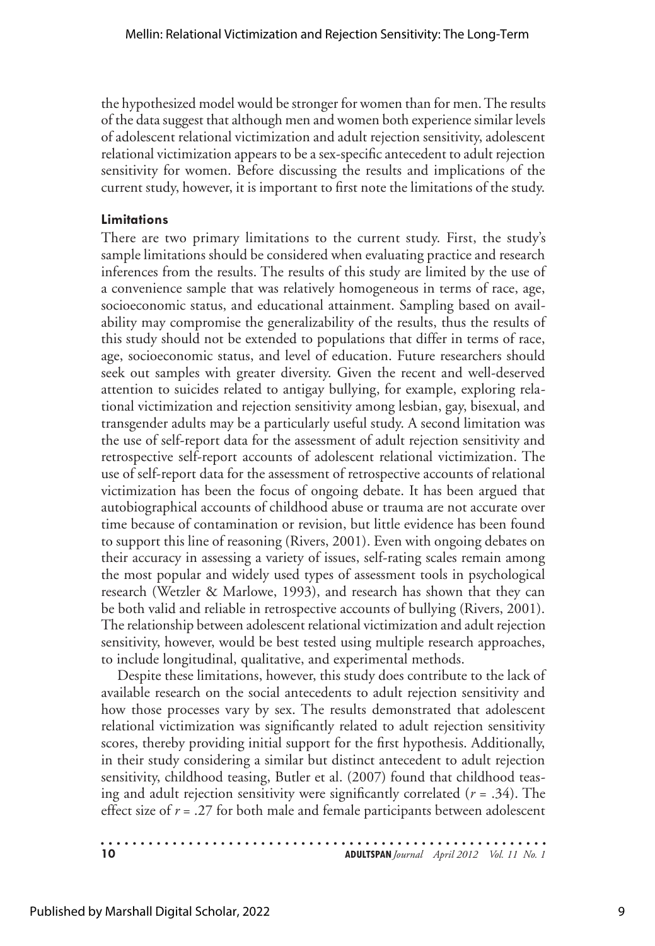the hypothesized model would be stronger for women than for men. The results of the data suggest that although men and women both experience similar levels of adolescent relational victimization and adult rejection sensitivity, adolescent relational victimization appears to be a sex-specific antecedent to adult rejection sensitivity for women. Before discussing the results and implications of the current study, however, it is important to first note the limitations of the study.

#### **Limitations**

There are two primary limitations to the current study. First, the study's sample limitations should be considered when evaluating practice and research inferences from the results. The results of this study are limited by the use of a convenience sample that was relatively homogeneous in terms of race, age, socioeconomic status, and educational attainment. Sampling based on availability may compromise the generalizability of the results, thus the results of this study should not be extended to populations that differ in terms of race, age, socioeconomic status, and level of education. Future researchers should seek out samples with greater diversity. Given the recent and well-deserved attention to suicides related to antigay bullying, for example, exploring relational victimization and rejection sensitivity among lesbian, gay, bisexual, and transgender adults may be a particularly useful study. A second limitation was the use of self-report data for the assessment of adult rejection sensitivity and retrospective self-report accounts of adolescent relational victimization. The use of self-report data for the assessment of retrospective accounts of relational victimization has been the focus of ongoing debate. It has been argued that autobiographical accounts of childhood abuse or trauma are not accurate over time because of contamination or revision, but little evidence has been found to support this line of reasoning (Rivers, 2001). Even with ongoing debates on their accuracy in assessing a variety of issues, self-rating scales remain among the most popular and widely used types of assessment tools in psychological research (Wetzler & Marlowe, 1993), and research has shown that they can be both valid and reliable in retrospective accounts of bullying (Rivers, 2001). The relationship between adolescent relational victimization and adult rejection sensitivity, however, would be best tested using multiple research approaches, to include longitudinal, qualitative, and experimental methods.

Despite these limitations, however, this study does contribute to the lack of available research on the social antecedents to adult rejection sensitivity and how those processes vary by sex. The results demonstrated that adolescent relational victimization was significantly related to adult rejection sensitivity scores, thereby providing initial support for the first hypothesis. Additionally, in their study considering a similar but distinct antecedent to adult rejection sensitivity, childhood teasing, Butler et al. (2007) found that childhood teasing and adult rejection sensitivity were significantly correlated (*r* = .34). The effect size of *r* = .27 for both male and female participants between adolescent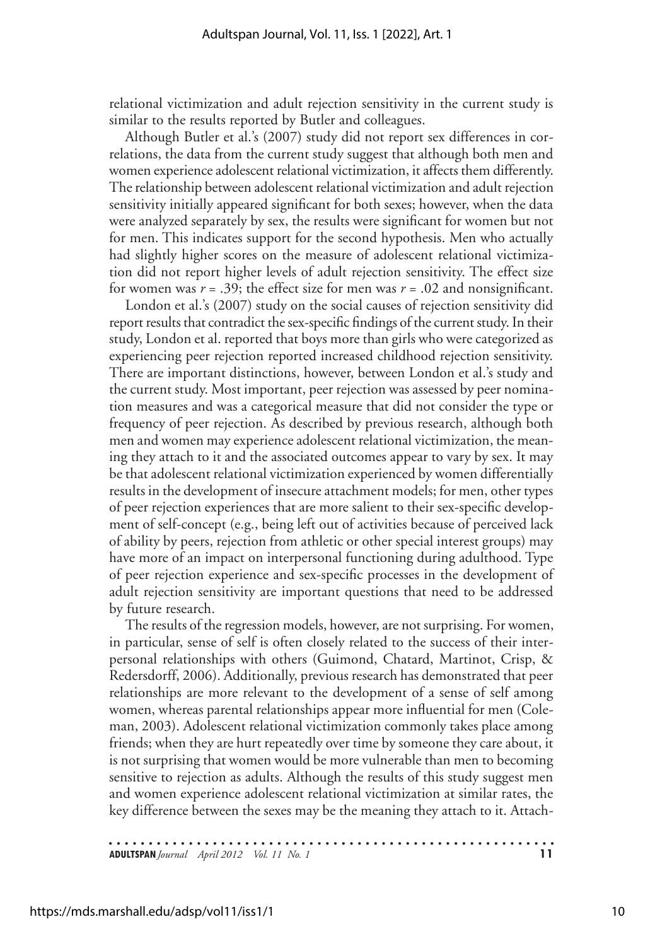relational victimization and adult rejection sensitivity in the current study is similar to the results reported by Butler and colleagues.

Although Butler et al.'s (2007) study did not report sex differences in correlations, the data from the current study suggest that although both men and women experience adolescent relational victimization, it affects them differently. The relationship between adolescent relational victimization and adult rejection sensitivity initially appeared significant for both sexes; however, when the data were analyzed separately by sex, the results were significant for women but not for men. This indicates support for the second hypothesis. Men who actually had slightly higher scores on the measure of adolescent relational victimization did not report higher levels of adult rejection sensitivity. The effect size for women was  $r = .39$ ; the effect size for men was  $r = .02$  and nonsignificant.

London et al.'s (2007) study on the social causes of rejection sensitivity did report results that contradict the sex-specific findings of the current study. In their study, London et al. reported that boys more than girls who were categorized as experiencing peer rejection reported increased childhood rejection sensitivity. There are important distinctions, however, between London et al.'s study and the current study. Most important, peer rejection was assessed by peer nomination measures and was a categorical measure that did not consider the type or frequency of peer rejection. As described by previous research, although both men and women may experience adolescent relational victimization, the meaning they attach to it and the associated outcomes appear to vary by sex. It may be that adolescent relational victimization experienced by women differentially results in the development of insecure attachment models; for men, other types of peer rejection experiences that are more salient to their sex-specific development of self-concept (e.g., being left out of activities because of perceived lack of ability by peers, rejection from athletic or other special interest groups) may have more of an impact on interpersonal functioning during adulthood. Type of peer rejection experience and sex-specific processes in the development of adult rejection sensitivity are important questions that need to be addressed by future research.

The results of the regression models, however, are not surprising. For women, in particular, sense of self is often closely related to the success of their interpersonal relationships with others (Guimond, Chatard, Martinot, Crisp, & Redersdorff, 2006). Additionally, previous research has demonstrated that peer relationships are more relevant to the development of a sense of self among women, whereas parental relationships appear more influential for men (Coleman, 2003). Adolescent relational victimization commonly takes place among friends; when they are hurt repeatedly over time by someone they care about, it is not surprising that women would be more vulnerable than men to becoming sensitive to rejection as adults. Although the results of this study suggest men and women experience adolescent relational victimization at similar rates, the key difference between the sexes may be the meaning they attach to it. Attach-

| <b>ADULTSPAN</b> Journal April 2012 Vol. 11 No. 1 |  |  |
|---------------------------------------------------|--|--|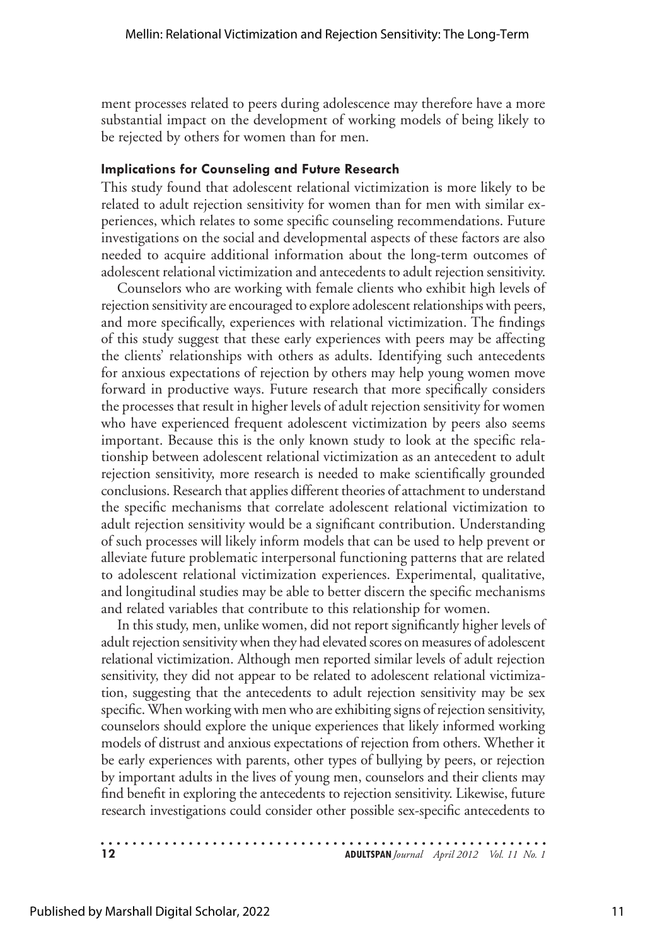ment processes related to peers during adolescence may therefore have a more substantial impact on the development of working models of being likely to be rejected by others for women than for men.

#### **Implications for Counseling and Future Research**

This study found that adolescent relational victimization is more likely to be related to adult rejection sensitivity for women than for men with similar experiences, which relates to some specific counseling recommendations. Future investigations on the social and developmental aspects of these factors are also needed to acquire additional information about the long-term outcomes of adolescent relational victimization and antecedents to adult rejection sensitivity.

Counselors who are working with female clients who exhibit high levels of rejection sensitivity are encouraged to explore adolescent relationships with peers, and more specifically, experiences with relational victimization. The findings of this study suggest that these early experiences with peers may be affecting the clients' relationships with others as adults. Identifying such antecedents for anxious expectations of rejection by others may help young women move forward in productive ways. Future research that more specifically considers the processes that result in higher levels of adult rejection sensitivity for women who have experienced frequent adolescent victimization by peers also seems important. Because this is the only known study to look at the specific relationship between adolescent relational victimization as an antecedent to adult rejection sensitivity, more research is needed to make scientifically grounded conclusions. Research that applies different theories of attachment to understand the specific mechanisms that correlate adolescent relational victimization to adult rejection sensitivity would be a significant contribution. Understanding of such processes will likely inform models that can be used to help prevent or alleviate future problematic interpersonal functioning patterns that are related to adolescent relational victimization experiences. Experimental, qualitative, and longitudinal studies may be able to better discern the specific mechanisms and related variables that contribute to this relationship for women.

In this study, men, unlike women, did not report significantly higher levels of adult rejection sensitivity when they had elevated scores on measures of adolescent relational victimization. Although men reported similar levels of adult rejection sensitivity, they did not appear to be related to adolescent relational victimization, suggesting that the antecedents to adult rejection sensitivity may be sex specific. When working with men who are exhibiting signs of rejection sensitivity, counselors should explore the unique experiences that likely informed working models of distrust and anxious expectations of rejection from others. Whether it be early experiences with parents, other types of bullying by peers, or rejection by important adults in the lives of young men, counselors and their clients may find benefit in exploring the antecedents to rejection sensitivity. Likewise, future research investigations could consider other possible sex-specific antecedents to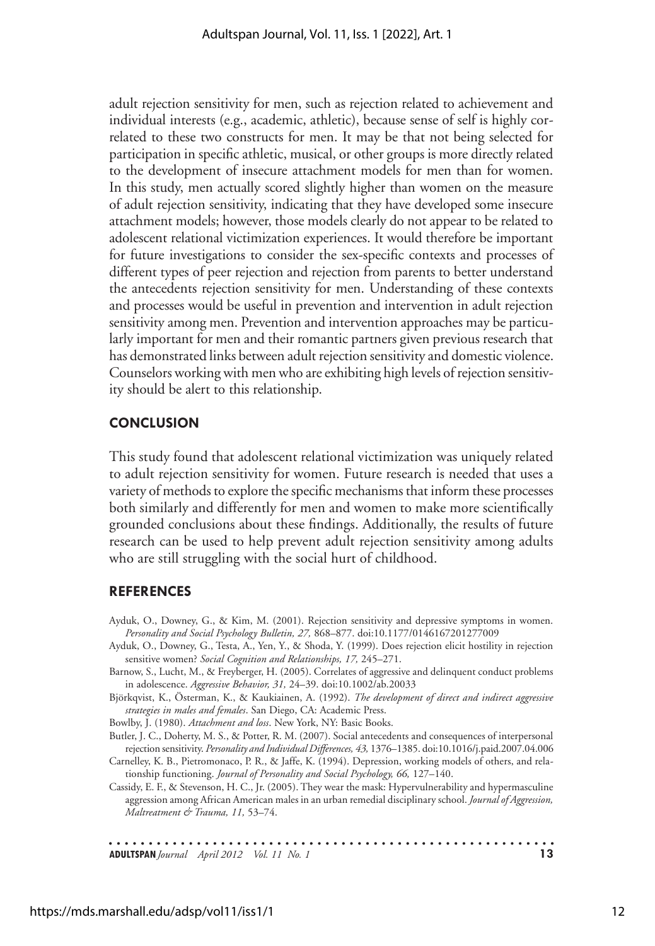adult rejection sensitivity for men, such as rejection related to achievement and individual interests (e.g., academic, athletic), because sense of self is highly correlated to these two constructs for men. It may be that not being selected for participation in specific athletic, musical, or other groups is more directly related to the development of insecure attachment models for men than for women. In this study, men actually scored slightly higher than women on the measure of adult rejection sensitivity, indicating that they have developed some insecure attachment models; however, those models clearly do not appear to be related to adolescent relational victimization experiences. It would therefore be important for future investigations to consider the sex-specific contexts and processes of different types of peer rejection and rejection from parents to better understand the antecedents rejection sensitivity for men. Understanding of these contexts and processes would be useful in prevention and intervention in adult rejection sensitivity among men. Prevention and intervention approaches may be particularly important for men and their romantic partners given previous research that has demonstrated links between adult rejection sensitivity and domestic violence. Counselors working with men who are exhibiting high levels of rejection sensitivity should be alert to this relationship.

#### **Conclusion**

This study found that adolescent relational victimization was uniquely related to adult rejection sensitivity for women. Future research is needed that uses a variety of methods to explore the specific mechanisms that inform these processes both similarly and differently for men and women to make more scientifically grounded conclusions about these findings. Additionally, the results of future research can be used to help prevent adult rejection sensitivity among adults who are still struggling with the social hurt of childhood.

#### **References**

- Ayduk, O., Downey, G., & Kim, M. (2001). Rejection sensitivity and depressive symptoms in women. *Personality and Social Psychology Bulletin, 27,* 868–877. doi:10.1177/0146167201277009
- Ayduk, O., Downey, G., Testa, A., Yen, Y., & Shoda, Y. (1999). Does rejection elicit hostility in rejection sensitive women? *Social Cognition and Relationships, 17,* 245–271.
- Barnow, S., Lucht, M., & Freyberger, H. (2005). Correlates of aggressive and delinquent conduct problems in adolescence. *Aggressive Behavior, 31,* 24–39. doi:10.1002/ab.20033
- Björkqvist, K., Österman, K., & Kaukiainen, A. (1992). *The development of direct and indirect aggressive strategies in males and females*. San Diego, CA: Academic Press.

Bowlby, J. (1980). *Attachment and loss*. New York, NY: Basic Books.

- Butler, J. C., Doherty, M. S., & Potter, R. M. (2007). Social antecedents and consequences of interpersonal rejection sensitivity. *Personality and Individual Differences, 43,* 1376–1385. doi:10.1016/j.paid.2007.04.006
- Carnelley, K. B., Pietromonaco, P. R., & Jaffe, K. (1994). Depression, working models of others, and relationship functioning. *Journal of Personality and Social Psychology, 66,* 127–140.
- Cassidy, E. F., & Stevenson, H. C., Jr. (2005). They wear the mask: Hypervulnerability and hypermasculine aggression among African American males in an urban remedial disciplinary school. *Journal of Aggression, Maltreatment & Trauma, 11,* 53–74.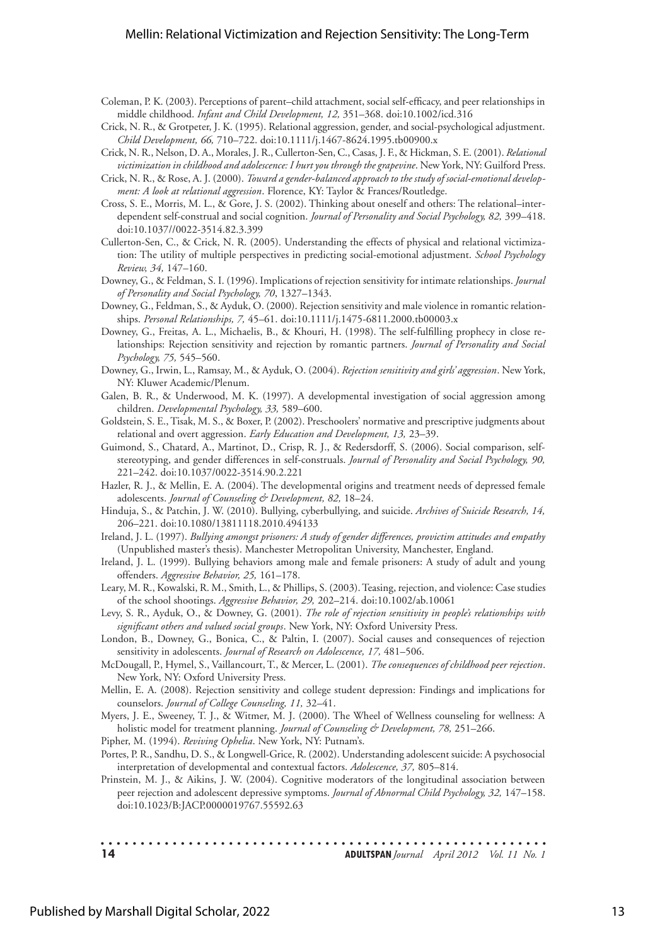#### Mellin: Relational Victimization and Rejection Sensitivity: The Long-Term

- Coleman, P. K. (2003). Perceptions of parent–child attachment, social self-efficacy, and peer relationships in middle childhood. *Infant and Child Development, 12,* 351–368. doi:10.1002/icd.316
- Crick, N. R., & Grotpeter, J. K. (1995). Relational aggression, gender, and social-psychological adjustment. *Child Development, 66,* 710–722. doi:10.1111/j.1467-8624.1995.tb00900.x
- Crick, N. R., Nelson, D. A., Morales, J. R., Cullerton-Sen, C., Casas, J. F., & Hickman, S. E. (2001). *Relational victimization in childhood and adolescence: I hurt you through the grapevine*. New York, NY: Guilford Press.
- Crick, N. R., & Rose, A. J. (2000). *Toward a gender-balanced approach to the study of social-emotional development: A look at relational aggression*. Florence, KY: Taylor & Frances/Routledge.
- Cross, S. E., Morris, M. L., & Gore, J. S. (2002). Thinking about oneself and others: The relational–interdependent self-construal and social cognition. *Journal of Personality and Social Psychology, 82,* 399–418. doi:10.1037//0022-3514.82.3.399
- Cullerton-Sen, C., & Crick, N. R. (2005). Understanding the effects of physical and relational victimization: The utility of multiple perspectives in predicting social-emotional adjustment. *School Psychology Review, 34,* 147–160.
- Downey, G., & Feldman, S. I. (1996). Implications of rejection sensitivity for intimate relationships. *Journal of Personality and Social Psychology, 70*, 1327–1343.
- Downey, G., Feldman, S., & Ayduk, O. (2000). Rejection sensitivity and male violence in romantic relationships. *Personal Relationships, 7,* 45–61. doi:10.1111/j.1475-6811.2000.tb00003.x
- Downey, G., Freitas, A. L., Michaelis, B., & Khouri, H. (1998). The self-fulfilling prophecy in close relationships: Rejection sensitivity and rejection by romantic partners. *Journal of Personality and Social Psychology, 75,* 545–560.
- Downey, G., Irwin, L., Ramsay, M., & Ayduk, O. (2004). *Rejection sensitivity and girls' aggression*. New York, NY: Kluwer Academic/Plenum.
- Galen, B. R., & Underwood, M. K. (1997). A developmental investigation of social aggression among children. *Developmental Psychology, 33,* 589–600.
- Goldstein, S. E., Tisak, M. S., & Boxer, P. (2002). Preschoolers' normative and prescriptive judgments about relational and overt aggression. *Early Education and Development, 13,* 23–39.
- Guimond, S., Chatard, A., Martinot, D., Crisp, R. J., & Redersdorff, S. (2006). Social comparison, selfstereotyping, and gender differences in self-construals. *Journal of Personality and Social Psychology, 90,* 221–242. doi:10.1037/0022-3514.90.2.221
- Hazler, R. J., & Mellin, E. A. (2004). The developmental origins and treatment needs of depressed female adolescents. *Journal of Counseling & Development, 82,* 18–24.
- Hinduja, S., & Patchin, J. W. (2010). Bullying, cyberbullying, and suicide. *Archives of Suicide Research, 14,*  206–221. doi:10.1080/13811118.2010.494133
- Ireland, J. L. (1997). *Bullying amongst prisoners: A study of gender differences, provictim attitudes and empathy* (Unpublished master's thesis). Manchester Metropolitan University, Manchester, England.
- Ireland, J. L. (1999). Bullying behaviors among male and female prisoners: A study of adult and young offenders. *Aggressive Behavior, 25,* 161–178.
- Leary, M. R., Kowalski, R. M., Smith, L., & Phillips, S. (2003). Teasing, rejection, and violence: Case studies of the school shootings. *Aggressive Behavior, 29,* 202–214. doi:10.1002/ab.10061
- Levy, S. R., Ayduk, O., & Downey, G. (2001). *The role of rejection sensitivity in people's relationships with significant others and valued social groups*. New York, NY: Oxford University Press.
- London, B., Downey, G., Bonica, C., & Paltin, I. (2007). Social causes and consequences of rejection sensitivity in adolescents. *Journal of Research on Adolescence, 17,* 481–506.
- McDougall, P., Hymel, S., Vaillancourt, T., & Mercer, L. (2001). *The consequences of childhood peer rejection*. New York, NY: Oxford University Press.
- Mellin, E. A. (2008). Rejection sensitivity and college student depression: Findings and implications for counselors. *Journal of College Counseling, 11,* 32–41.
- Myers, J. E., Sweeney, T. J., & Witmer, M. J. (2000). The Wheel of Wellness counseling for wellness: A holistic model for treatment planning. *Journal of Counseling & Development, 78,* 251–266.

Pipher, M. (1994). *Reviving Ophelia*. New York, NY: Putnam's.

- Portes, P. R., Sandhu, D. S., & Longwell-Grice, R. (2002). Understanding adolescent suicide: A psychosocial interpretation of developmental and contextual factors. *Adolescence, 37,* 805–814.
- Prinstein, M. J., & Aikins, J. W. (2004). Cognitive moderators of the longitudinal association between peer rejection and adolescent depressive symptoms. *Journal of Abnormal Child Psychology, 32,* 147–158. doi:10.1023/B:JACP.0000019767.55592.63

. . . . . . . . . . **14 ADULTSPAN***Journal April 2012 Vol. 11 No. 1*